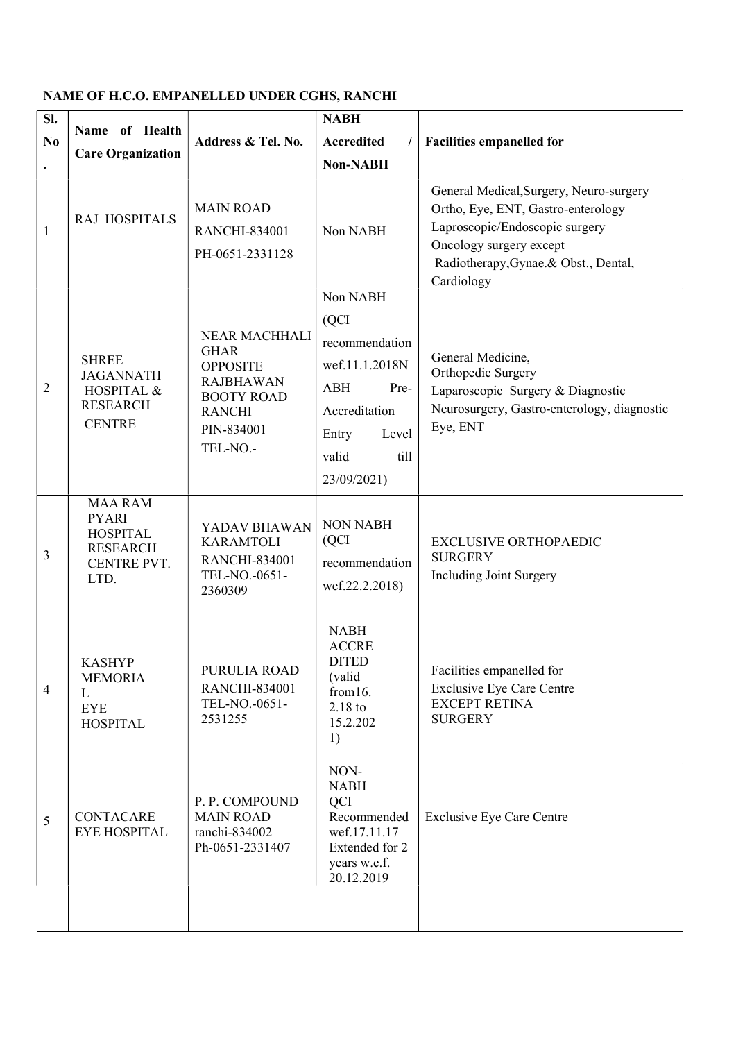## NAME OF H.C.O. EMPANELLED UNDER CGHS, RANCHI

| SI.            |                                                                                             |                                                                                                                                     | <b>NABH</b>                                                                                                                                                                                                  |                                                                                                                                         |  |
|----------------|---------------------------------------------------------------------------------------------|-------------------------------------------------------------------------------------------------------------------------------------|--------------------------------------------------------------------------------------------------------------------------------------------------------------------------------------------------------------|-----------------------------------------------------------------------------------------------------------------------------------------|--|
| N <sub>0</sub> | Name of Health                                                                              | Address & Tel. No.                                                                                                                  | <b>Accredited</b>                                                                                                                                                                                            | <b>Facilities empanelled for</b>                                                                                                        |  |
| $\bullet$      | <b>Care Organization</b>                                                                    |                                                                                                                                     | <b>Non-NABH</b>                                                                                                                                                                                              |                                                                                                                                         |  |
| $\mathbf{1}$   | RAJ HOSPITALS                                                                               | <b>MAIN ROAD</b><br><b>RANCHI-834001</b><br>PH-0651-2331128                                                                         | General Medical, Surgery, Neuro-surgery<br>Ortho, Eye, ENT, Gastro-enterology<br>Laproscopic/Endoscopic surgery<br>Non NABH<br>Oncology surgery except<br>Radiotherapy, Gynae.& Obst., Dental,<br>Cardiology |                                                                                                                                         |  |
| $\overline{2}$ | <b>SHREE</b><br><b>JAGANNATH</b><br>HOSPITAL &<br><b>RESEARCH</b><br><b>CENTRE</b>          | NEAR MACHHALI<br><b>GHAR</b><br><b>OPPOSITE</b><br><b>RAJBHAWAN</b><br><b>BOOTY ROAD</b><br><b>RANCHI</b><br>PIN-834001<br>TEL-NO.- | Non NABH<br>(QCI)<br>recommendation<br>wef.11.1.2018N<br><b>ABH</b><br>Pre-<br>Accreditation<br>Entry<br>Level<br>valid<br>till<br>23/09/2021)                                                               | General Medicine,<br>Orthopedic Surgery<br>Laparoscopic Surgery & Diagnostic<br>Neurosurgery, Gastro-enterology, diagnostic<br>Eye, ENT |  |
| 3              | <b>MAA RAM</b><br><b>PYARI</b><br><b>HOSPITAL</b><br><b>RESEARCH</b><br>CENTRE PVT.<br>LTD. | YADAV BHAWAN<br><b>KARAMTOLI</b><br><b>RANCHI-834001</b><br>TEL-NO.-0651-<br>2360309                                                | <b>NON NABH</b><br>(QCI)<br>recommendation<br>wef.22.2.2018)                                                                                                                                                 | <b>EXCLUSIVE ORTHOPAEDIC</b><br><b>SURGERY</b><br>Including Joint Surgery                                                               |  |
| $\overline{4}$ | <b>KASHYP</b><br><b>MEMORIA</b><br>L<br><b>EYE</b><br><b>HOSPITAL</b>                       | PURULIA ROAD<br><b>RANCHI-834001</b><br>TEL-NO.-0651-<br>2531255                                                                    | <b>NABH</b><br><b>ACCRE</b><br><b>DITED</b><br>(valid<br>from 16.<br>$2.18$ to<br>15.2.202<br>1)                                                                                                             | Facilities empanelled for<br><b>Exclusive Eye Care Centre</b><br><b>EXCEPT RETINA</b><br><b>SURGERY</b>                                 |  |
| 5              | <b>CONTACARE</b><br><b>EYE HOSPITAL</b>                                                     | P. P. COMPOUND<br><b>MAIN ROAD</b><br>ranchi-834002<br>Ph-0651-2331407                                                              | NON-<br><b>NABH</b><br>QCI<br>Recommended<br>wef.17.11.17<br>Extended for 2<br>years w.e.f.<br>20.12.2019                                                                                                    | <b>Exclusive Eye Care Centre</b>                                                                                                        |  |
|                |                                                                                             |                                                                                                                                     |                                                                                                                                                                                                              |                                                                                                                                         |  |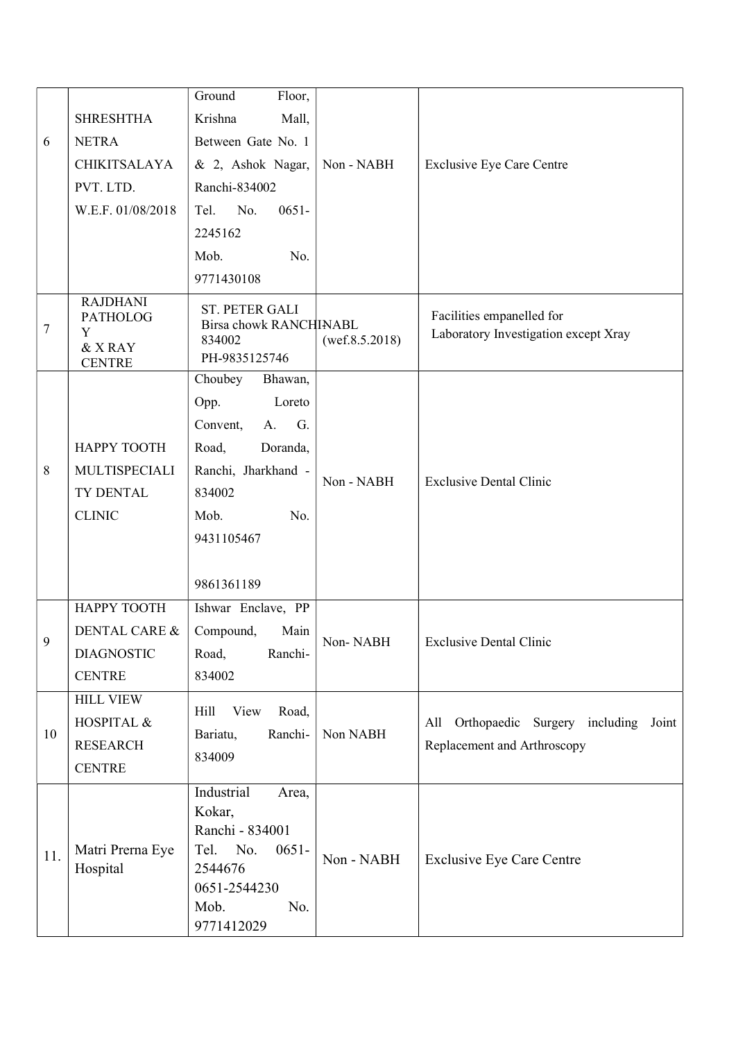| 6   | <b>SHRESHTHA</b><br><b>NETRA</b>                                    | Floor,<br>Ground<br>Krishna<br>Mall,<br>Between Gate No. 1                                                                                                    |                |                                                                           |
|-----|---------------------------------------------------------------------|---------------------------------------------------------------------------------------------------------------------------------------------------------------|----------------|---------------------------------------------------------------------------|
|     | <b>CHIKITSALAYA</b><br>PVT. LTD.<br>W.E.F. 01/08/2018               | & 2, Ashok Nagar,<br>Ranchi-834002<br>Tel.<br>No.<br>$0651 -$                                                                                                 | Non - NABH     | <b>Exclusive Eye Care Centre</b>                                          |
|     |                                                                     | 2245162<br>Mob.<br>No.                                                                                                                                        |                |                                                                           |
|     |                                                                     | 9771430108                                                                                                                                                    |                |                                                                           |
| 7   | <b>RAJDHANI</b><br><b>PATHOLOG</b><br>Y<br>& X RAY<br><b>CENTRE</b> | ST. PETER GALI<br>Birsa chowk RANCHINABL<br>834002<br>PH-9835125746                                                                                           | (wef.8.5.2018) | Facilities empanelled for<br>Laboratory Investigation except Xray         |
| 8   | НАРРҮ ТООТН<br>MULTISPECIALI<br>TY DENTAL<br><b>CLINIC</b>          | Choubey<br>Bhawan,<br>Loreto<br>Opp.<br>Convent,<br>A.<br>G.<br>Road,<br>Doranda,<br>Ranchi, Jharkhand -<br>834002<br>Mob.<br>No.<br>9431105467<br>9861361189 | Non - NABH     | <b>Exclusive Dental Clinic</b>                                            |
| 9.  | НАРРҮ ТООТН<br>DENTAL CARE &<br><b>DIAGNOSTIC</b><br><b>CENTRE</b>  | Ishwar Enclave, PP<br>Compound,<br>Main<br>Road,<br>Ranchi-<br>834002                                                                                         | Non-NABH       | <b>Exclusive Dental Clinic</b>                                            |
| 10  | <b>HILL VIEW</b><br>HOSPITAL &<br><b>RESEARCH</b><br><b>CENTRE</b>  | View<br>Hill<br>Road,<br>Bariatu,<br>Ranchi-<br>834009                                                                                                        | Non NABH       | Orthopaedic Surgery including Joint<br>All<br>Replacement and Arthroscopy |
| 11. | Matri Prerna Eye<br>Hospital                                        | Industrial<br>Area,<br>Kokar,<br>Ranchi - 834001<br>Tel.<br>No.<br>$0651 -$<br>2544676<br>0651-2544230<br>Mob.<br>No.<br>9771412029                           | Non - NABH     | <b>Exclusive Eye Care Centre</b>                                          |